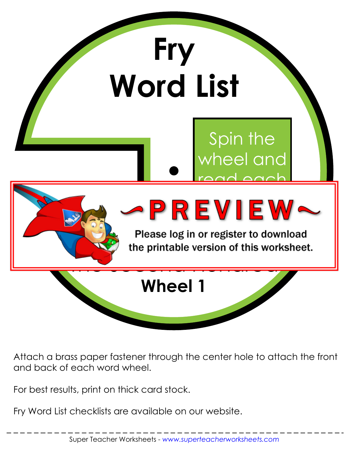

Attach a brass paper fastener through the center hole to attach the front and back of each word wheel.

For best results, print on thick card stock.

Fry Word List checklists are available on our website.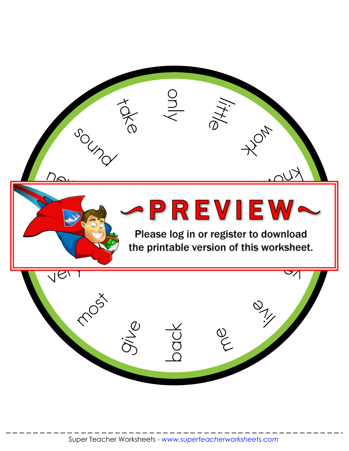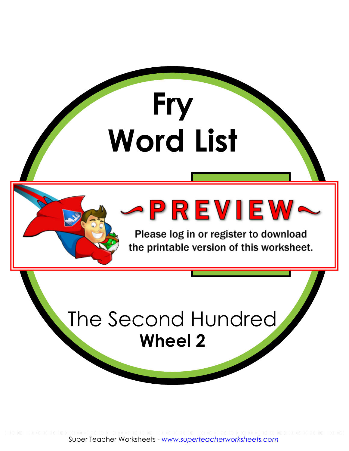

Please log in or register to download the printable version of this worksheet.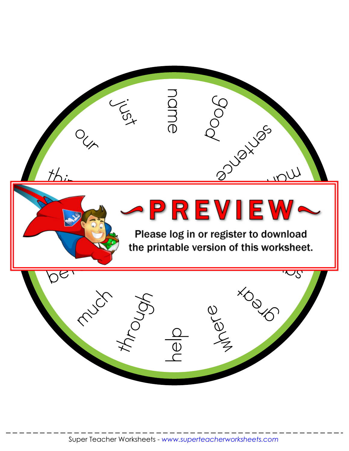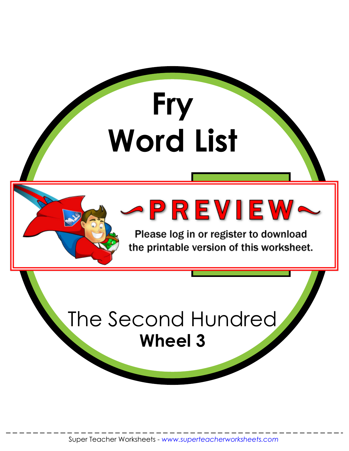

Please log in or register to download the printable version of this worksheet.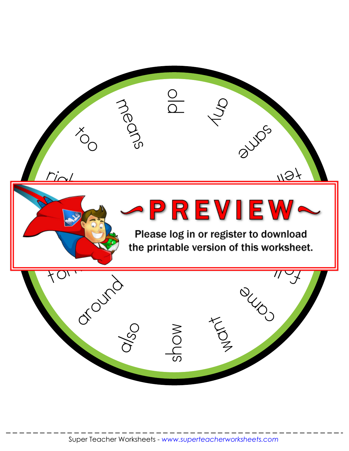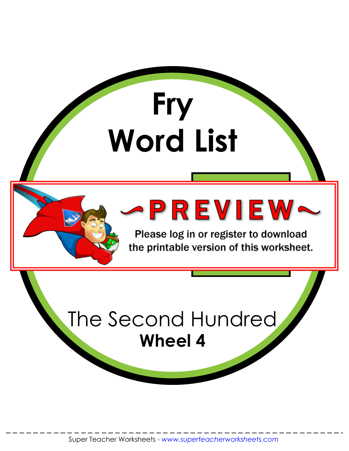

Please log in or register to download the printable version of this worksheet.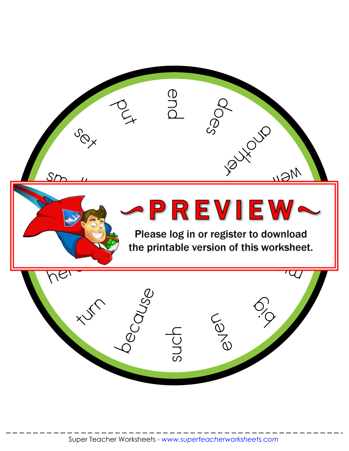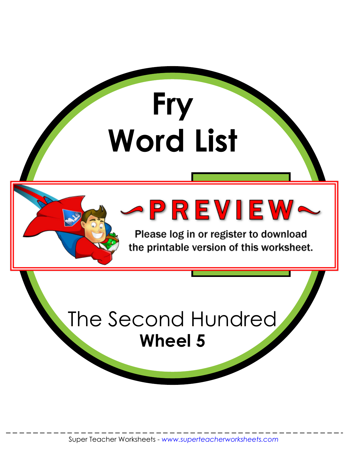

Please log in or register to download the printable version of this worksheet.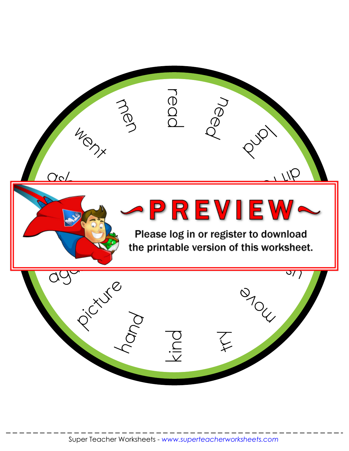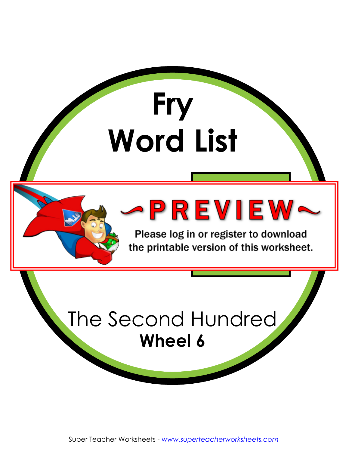

Please log in or register to download the printable version of this worksheet.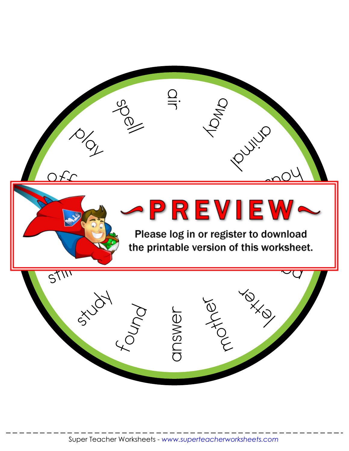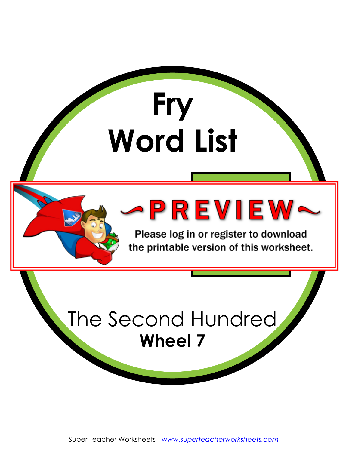

Please log in or register to download the printable version of this worksheet.